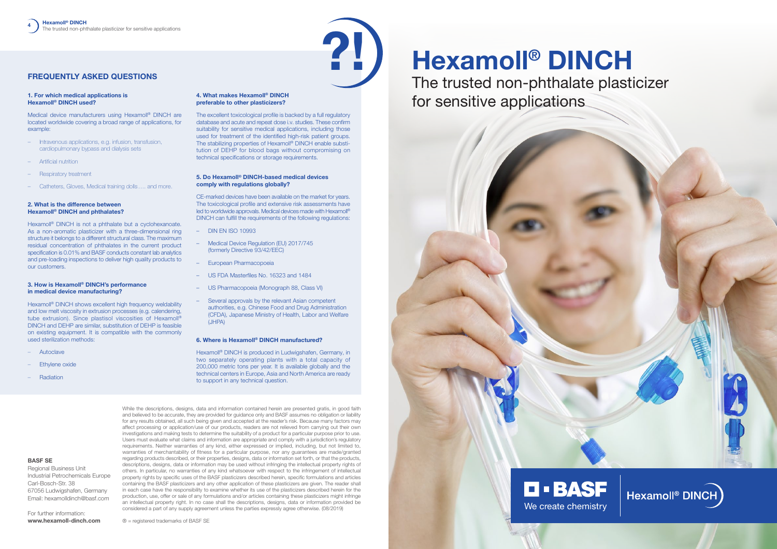# **Hexamoll® DINCH** The trusted non-phthalate plasticizer

for sensitive applications







# **FREQUENTLY ASKED QUESTIONS**

#### **1. For which medical applications is Hexamoll® DINCH used?**

Medical device manufacturers using Hexamoll® DINCH are located worldwide covering a broad range of applications, for example:

- Intravenous applications, e.g. infusion, transfusion, cardiopulmonary bypass and dialysis sets
- Artificial nutrition
- Respiratory treatment
- Catheters, Gloves, Medical training dolls…. and more.

Hexamoll<sup>®</sup> DINCH is not a phthalate but a cyclohexanoate. As a non-aromatic plasticizer with a three-dimensional ring structure it belongs to a different structural class. The maximum residual concentration of phthalates in the current product specification is 0.01% and BASF conducts constant lab analytics and pre-loading inspections to deliver high quality products to our customers.

## **2. What is the difference between Hexamoll® DINCH and phthalates?**

Hexamoll<sup>®</sup> DINCH shows excellent high frequency weldability and low melt viscosity in extrusion processes (e.g. calendering, tube extrusion). Since plastisol viscosities of Hexamoll® DINCH and DEHP are similar, substitution of DEHP is feasible on existing equipment. It is compatible with the commonly used sterilization methods:

### **3. How is Hexamoll® DINCH's performance in medical device manufacturing?**

- Autoclave
- Ethylene oxide
- Radiation

#### **4. What makes Hexamoll® DINCH preferable to other plasticizers?**

The excellent toxicological profile is backed by a full regulatory database and acute and repeat dose i.v. studies. These confirm suitability for sensitive medical applications, including those used for treatment of the identified high-risk patient groups. The stabilizing properties of Hexamoll® DINCH enable substitution of DEHP for blood bags without compromising on technical specifications or storage requirements.

#### **5. Do Hexamoll® DINCH-based medical devices comply with regulations globally?**

CE-marked devices have been available on the market for years. The toxicological profile and extensive risk assessments have led to worldwide approvals. Medical devices made with Hexamoll® DINCH can fulfill the requirements of the following regulations:

- DIN EN ISO 10993
- Medical Device Regulation (EU) 2017/745 (formerly Directive 93/42/EEC)
- European Pharmacopoeia
- US FDA Masterfiles No. 16323 and 1484
- US Pharmacopoeia (Monograph 88, Class VI)
- Several approvals by the relevant Asian competent authorities, e.g. Chinese Food and Drug Administration (CFDA), Japanese Ministry of Health, Labor and Welfare (JHPA)

#### **6. Where is Hexamoll® DINCH manufactured?**

Hexamoll® DINCH is produced in Ludwigshafen, Germany, in two separately operating plants with a total capacity of 200,000 metric tons per year. It is available globally and the technical centers in Europe, Asia and North America are ready to support in any technical question.

While the descriptions, designs, data and information contained herein are presented gratis, in good faith and believed to be accurate, they are provided for guidance only and BASF assumes no obligation or liability for any results obtained, all such being given and accepted at the reader's risk. Because many factors may affect processing or application/use of our products, readers are not relieved from carrying out their own investigations and making tests to determine the suitability of a product for a particular purpose prior to use. Users must evaluate what claims and information are appropriate and comply with a jurisdiction's regulatory requirements. Neither warranties of any kind, either expressed or implied, including, but not limited to, warranties of merchantability of fitness for a particular purpose, nor any guarantees are made/granted regarding products described, or their properties, designs, data or information set forth, or that the products, descriptions, designs, data or information may be used without infringing the intellectual property rights of others. In particular, no warranties of any kind whatsoever with respect to the infringement of intellectual property rights by specific uses of the BASF plasticizers described herein, specific formulations and articles containing the BASF plasticizers and any other application of these plasticizers are given. The reader shall in each case have the responsibility to examine whether its use of the plasticizers described herein for the production, use, offer or sale of any formulations and/or articles containing these plasticizers might infringe an intellectual property right. In no case shall the descriptions, designs, data or information provided be considered a part of any supply agreement unless the parties expressly agree otherwise. (08/2019)

**BASF SE**

Regional Business Unit

Industrial Petrochemicals Europe

Carl-Bosch-Str. 38

67056 Ludwigshafen, Germany Email: hexamolldinch@basf.com

For further information: **[www.hexamoll-dinch.com](http://www.hexamoll-dinch.com)**